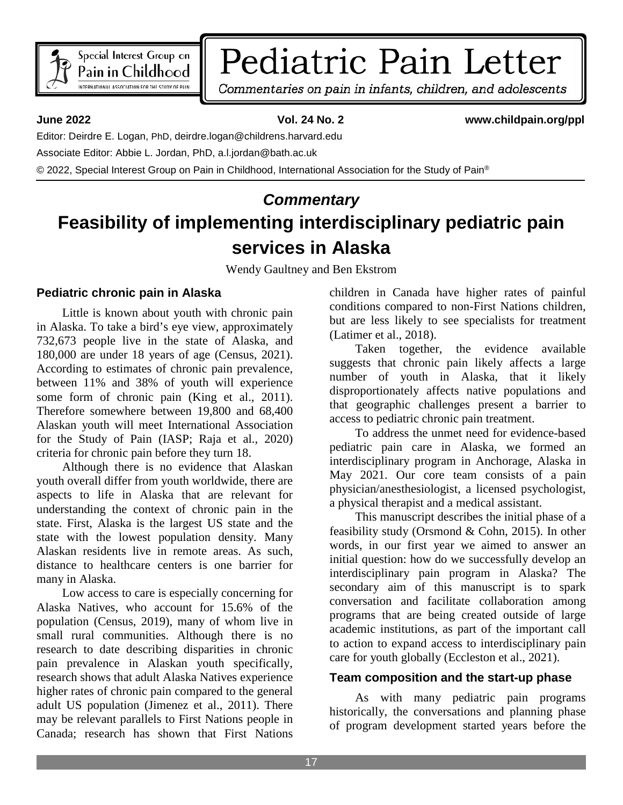

# Pediatric Pain Letter

Commentaries on pain in infants, children, and adolescents

**June 2022 Vol. 24 No. 2 www.childpain.org/ppl**

Editor: Deirdre E. Logan, PhD, deirdre.logan@childrens.harvard.edu

Associate Editor: Abbie L. Jordan, PhD, a.l.jordan@bath.ac.uk

© 2022, Special Interest Group on Pain in Childhood, International Association for the Study of Pain®

## *Commentary* **Feasibility of implementing interdisciplinary pediatric pain services in Alaska**

Wendy Gaultney and Ben Ekstrom

#### **Pediatric chronic pain in Alaska**

Little is known about youth with chronic pain in Alaska. To take a bird's eye view, approximately 732,673 people live in the state of Alaska, and 180,000 are under 18 years of age (Census, 2021). According to estimates of chronic pain prevalence, between 11% and 38% of youth will experience some form of chronic pain (King et al., 2011). Therefore somewhere between 19,800 and 68,400 Alaskan youth will meet International Association for the Study of Pain (IASP; Raja et al., 2020) criteria for chronic pain before they turn 18.

Although there is no evidence that Alaskan youth overall differ from youth worldwide, there are aspects to life in Alaska that are relevant for understanding the context of chronic pain in the state. First, Alaska is the largest US state and the state with the lowest population density. Many Alaskan residents live in remote areas. As such, distance to healthcare centers is one barrier for many in Alaska.

Low access to care is especially concerning for Alaska Natives, who account for 15.6% of the population (Census, 2019), many of whom live in small rural communities. Although there is no research to date describing disparities in chronic pain prevalence in Alaskan youth specifically, research shows that adult Alaska Natives experience higher rates of chronic pain compared to the general adult US population (Jimenez et al., 2011). There may be relevant parallels to First Nations people in Canada; research has shown that First Nations

children in Canada have higher rates of painful conditions compared to non-First Nations children, but are less likely to see specialists for treatment (Latimer et al., 2018).

Taken together, the evidence available suggests that chronic pain likely affects a large number of youth in Alaska, that it likely disproportionately affects native populations and that geographic challenges present a barrier to access to pediatric chronic pain treatment.

To address the unmet need for evidence-based pediatric pain care in Alaska, we formed an interdisciplinary program in Anchorage, Alaska in May 2021. Our core team consists of a pain physician/anesthesiologist, a licensed psychologist, a physical therapist and a medical assistant.

This manuscript describes the initial phase of a feasibility study (Orsmond & Cohn, 2015). In other words, in our first year we aimed to answer an initial question: how do we successfully develop an interdisciplinary pain program in Alaska? The secondary aim of this manuscript is to spark conversation and facilitate collaboration among programs that are being created outside of large academic institutions, as part of the important call to action to expand access to interdisciplinary pain care for youth globally (Eccleston et al., 2021).

## **Team composition and the start-up phase**

As with many pediatric pain programs historically, the conversations and planning phase of program development started years before the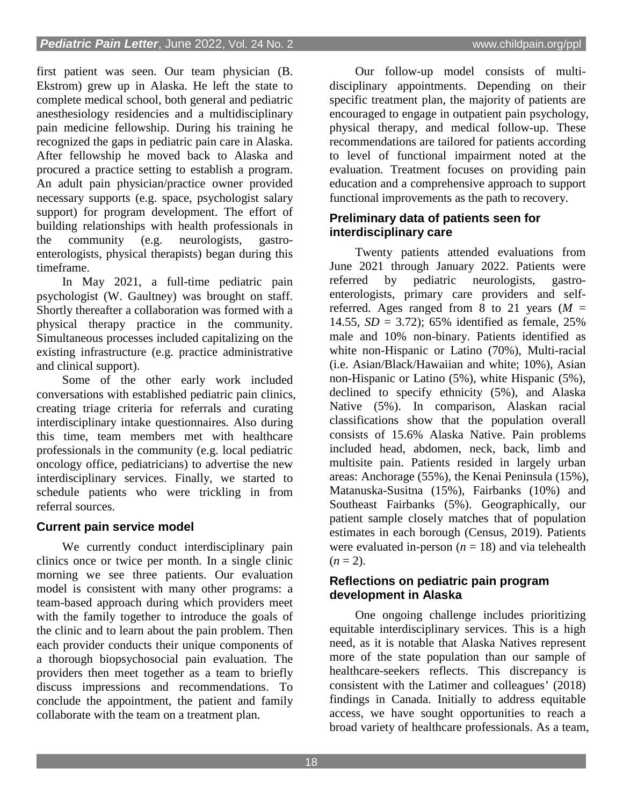first patient was seen. Our team physician (B. Ekstrom) grew up in Alaska. He left the state to complete medical school, both general and pediatric anesthesiology residencies and a multidisciplinary pain medicine fellowship. During his training he recognized the gaps in pediatric pain care in Alaska. After fellowship he moved back to Alaska and procured a practice setting to establish a program. An adult pain physician/practice owner provided necessary supports (e.g. space, psychologist salary support) for program development. The effort of building relationships with health professionals in the community (e.g. neurologists, gastroenterologists, physical therapists) began during this timeframe.

In May 2021, a full-time pediatric pain psychologist (W. Gaultney) was brought on staff. Shortly thereafter a collaboration was formed with a physical therapy practice in the community. Simultaneous processes included capitalizing on the existing infrastructure (e.g. practice administrative and clinical support).

Some of the other early work included conversations with established pediatric pain clinics, creating triage criteria for referrals and curating interdisciplinary intake questionnaires. Also during this time, team members met with healthcare professionals in the community (e.g. local pediatric oncology office, pediatricians) to advertise the new interdisciplinary services. Finally, we started to schedule patients who were trickling in from referral sources.

## **Current pain service model**

We currently conduct interdisciplinary pain clinics once or twice per month. In a single clinic morning we see three patients. Our evaluation model is consistent with many other programs: a team-based approach during which providers meet with the family together to introduce the goals of the clinic and to learn about the pain problem. Then each provider conducts their unique components of a thorough biopsychosocial pain evaluation. The providers then meet together as a team to briefly discuss impressions and recommendations. To conclude the appointment, the patient and family collaborate with the team on a treatment plan.

Our follow-up model consists of multidisciplinary appointments. Depending on their specific treatment plan, the majority of patients are encouraged to engage in outpatient pain psychology, physical therapy, and medical follow-up. These recommendations are tailored for patients according to level of functional impairment noted at the evaluation. Treatment focuses on providing pain education and a comprehensive approach to support functional improvements as the path to recovery.

#### **Preliminary data of patients seen for interdisciplinary care**

Twenty patients attended evaluations from June 2021 through January 2022. Patients were referred by pediatric neurologists, gastroenterologists, primary care providers and selfreferred. Ages ranged from 8 to 21 years  $(M =$ 14.55, *SD* = 3.72); 65% identified as female, 25% male and 10% non-binary. Patients identified as white non-Hispanic or Latino (70%), Multi-racial (i.e. Asian/Black/Hawaiian and white; 10%), Asian non-Hispanic or Latino (5%), white Hispanic (5%), declined to specify ethnicity (5%), and Alaska Native (5%). In comparison, Alaskan racial classifications show that the population overall consists of 15.6% Alaska Native. Pain problems included head, abdomen, neck, back, limb and multisite pain. Patients resided in largely urban areas: Anchorage (55%), the Kenai Peninsula (15%), Matanuska-Susitna (15%), Fairbanks (10%) and Southeast Fairbanks (5%). Geographically, our patient sample closely matches that of population estimates in each borough (Census, 2019). Patients were evaluated in-person  $(n = 18)$  and via telehealth  $(n=2)$ .

#### **Reflections on pediatric pain program development in Alaska**

One ongoing challenge includes prioritizing equitable interdisciplinary services. This is a high need, as it is notable that Alaska Natives represent more of the state population than our sample of healthcare-seekers reflects. This discrepancy is consistent with the Latimer and colleagues' (2018) findings in Canada. Initially to address equitable access, we have sought opportunities to reach a broad variety of healthcare professionals. As a team,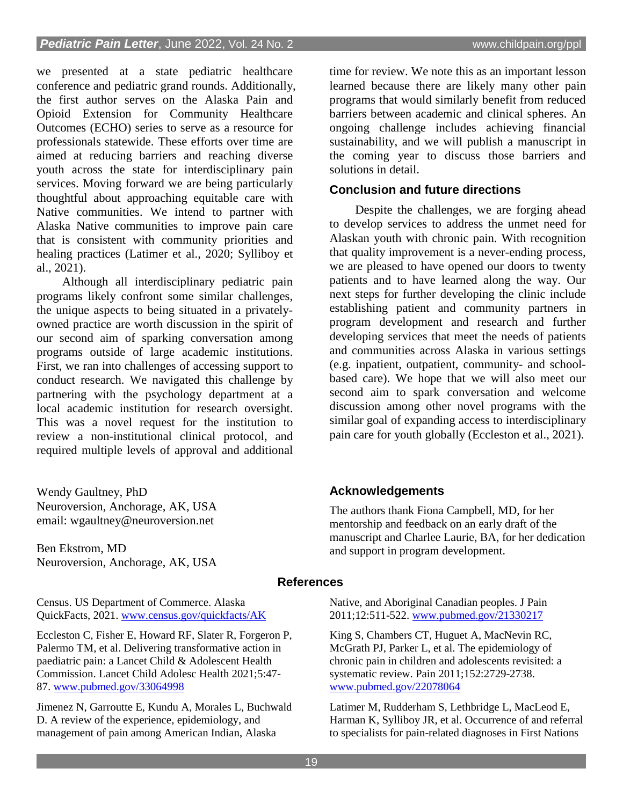we presented at a state pediatric healthcare conference and pediatric grand rounds. Additionally, the first author serves on the Alaska Pain and Opioid Extension for Community Healthcare Outcomes (ECHO) series to serve as a resource for professionals statewide. These efforts over time are aimed at reducing barriers and reaching diverse youth across the state for interdisciplinary pain services. Moving forward we are being particularly thoughtful about approaching equitable care with Native communities. We intend to partner with Alaska Native communities to improve pain care that is consistent with community priorities and healing practices (Latimer et al., 2020; Sylliboy et al., 2021).

Although all interdisciplinary pediatric pain programs likely confront some similar challenges, the unique aspects to being situated in a privatelyowned practice are worth discussion in the spirit of our second aim of sparking conversation among programs outside of large academic institutions. First, we ran into challenges of accessing support to conduct research. We navigated this challenge by partnering with the psychology department at a local academic institution for research oversight. This was a novel request for the institution to review a non-institutional clinical protocol, and required multiple levels of approval and additional

Wendy Gaultney, PhD Neuroversion, Anchorage, AK, USA email: wgaultney@neuroversion.net

Ben Ekstrom, MD Neuroversion, Anchorage, AK, USA

Census. US Department of Commerce. Alaska QuickFacts, 2021. [www.census.gov/quickfacts/AK](http://www.census.gov/quickfacts/AK)

Eccleston C, Fisher E, Howard RF, Slater R, Forgeron P, Palermo TM, et al. Delivering transformative action in paediatric pain: a Lancet Child & Adolescent Health Commission. Lancet Child Adolesc Health 2021;5:47- 87. [www.pubmed.gov/33064998](http://www.pubmed.gov/33064998)

Jimenez N, Garroutte E, Kundu A, Morales L, Buchwald D. A review of the experience, epidemiology, and management of pain among American Indian, Alaska

time for review. We note this as an important lesson learned because there are likely many other pain programs that would similarly benefit from reduced barriers between academic and clinical spheres. An ongoing challenge includes achieving financial sustainability, and we will publish a manuscript in the coming year to discuss those barriers and solutions in detail.

#### **Conclusion and future directions**

Despite the challenges, we are forging ahead to develop services to address the unmet need for Alaskan youth with chronic pain. With recognition that quality improvement is a never-ending process, we are pleased to have opened our doors to twenty patients and to have learned along the way. Our next steps for further developing the clinic include establishing patient and community partners in program development and research and further developing services that meet the needs of patients and communities across Alaska in various settings (e.g. inpatient, outpatient, community- and schoolbased care). We hope that we will also meet our second aim to spark conversation and welcome discussion among other novel programs with the similar goal of expanding access to interdisciplinary pain care for youth globally (Eccleston et al., 2021).

## **Acknowledgements**

The authors thank Fiona Campbell, MD, for her mentorship and feedback on an early draft of the manuscript and Charlee Laurie, BA, for her dedication and support in program development.

#### **References**

Native, and Aboriginal Canadian peoples. J Pain 2011;12:511-522. [www.pubmed.gov/21330217](http://www.pubmed.gov/21330217)

King S, Chambers CT, Huguet A, MacNevin RC, McGrath PJ, Parker L, et al. The epidemiology of chronic pain in children and adolescents revisited: a systematic review. Pain 2011;152:2729-2738. [www.pubmed.gov/22078064](http://www.pubmed.gov/22078064)

Latimer M, Rudderham S, Lethbridge L, MacLeod E, Harman K, Sylliboy JR, et al. Occurrence of and referral to specialists for pain-related diagnoses in First Nations